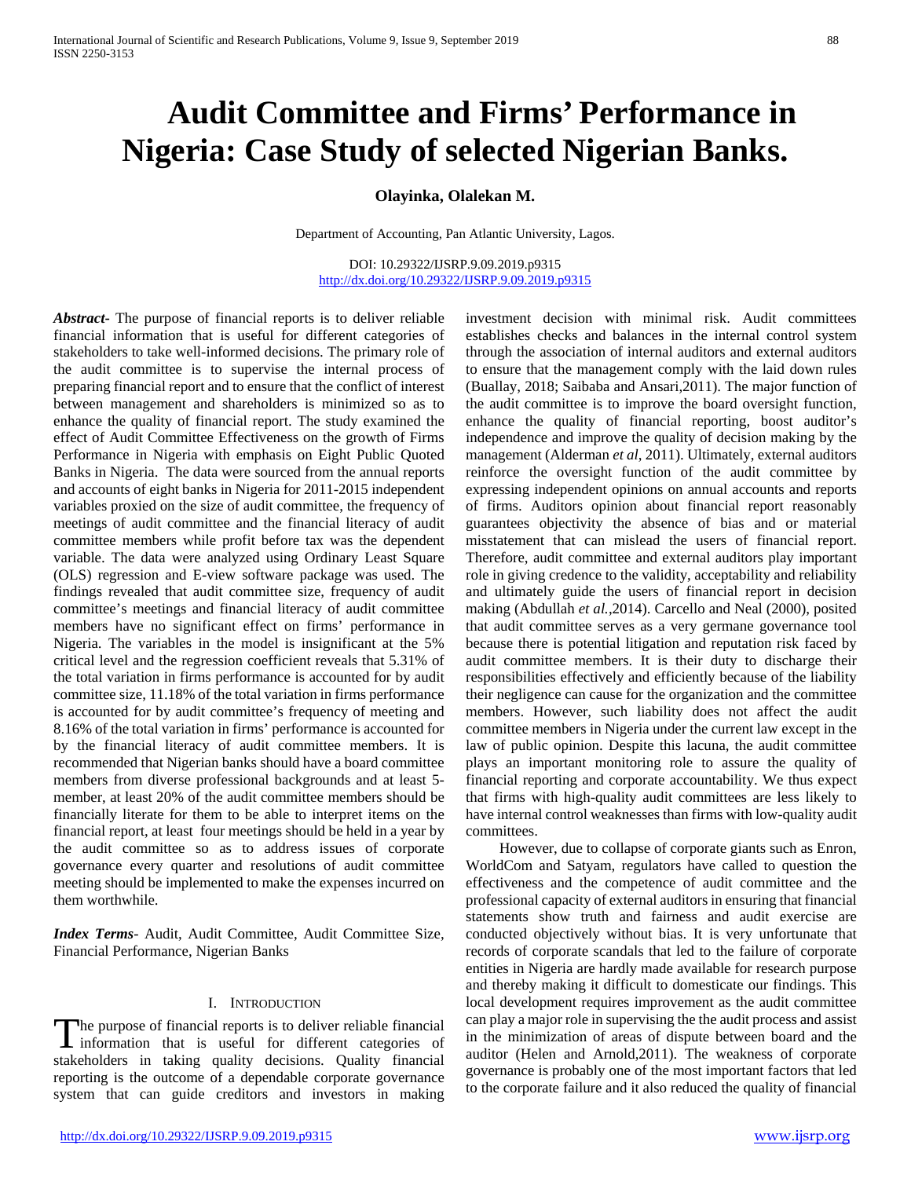# **Audit Committee and Firms' Performance in Nigeria: Case Study of selected Nigerian Banks.**

# **Olayinka, Olalekan M.**

Department of Accounting, Pan Atlantic University, Lagos.

DOI: 10.29322/IJSRP.9.09.2019.p9315 <http://dx.doi.org/10.29322/IJSRP.9.09.2019.p9315>

*Abstract***-** The purpose of financial reports is to deliver reliable financial information that is useful for different categories of stakeholders to take well-informed decisions. The primary role of the audit committee is to supervise the internal process of preparing financial report and to ensure that the conflict of interest between management and shareholders is minimized so as to enhance the quality of financial report. The study examined the effect of Audit Committee Effectiveness on the growth of Firms Performance in Nigeria with emphasis on Eight Public Quoted Banks in Nigeria. The data were sourced from the annual reports and accounts of eight banks in Nigeria for 2011-2015 independent variables proxied on the size of audit committee, the frequency of meetings of audit committee and the financial literacy of audit committee members while profit before tax was the dependent variable. The data were analyzed using Ordinary Least Square (OLS) regression and E-view software package was used. The findings revealed that audit committee size, frequency of audit committee's meetings and financial literacy of audit committee members have no significant effect on firms' performance in Nigeria. The variables in the model is insignificant at the 5% critical level and the regression coefficient reveals that 5.31% of the total variation in firms performance is accounted for by audit committee size, 11.18% of the total variation in firms performance is accounted for by audit committee's frequency of meeting and 8.16% of the total variation in firms' performance is accounted for by the financial literacy of audit committee members. It is recommended that Nigerian banks should have a board committee members from diverse professional backgrounds and at least 5 member, at least 20% of the audit committee members should be financially literate for them to be able to interpret items on the financial report, at least four meetings should be held in a year by the audit committee so as to address issues of corporate governance every quarter and resolutions of audit committee meeting should be implemented to make the expenses incurred on them worthwhile.

*Index Terms*- Audit, Audit Committee, Audit Committee Size, Financial Performance, Nigerian Banks

#### I. INTRODUCTION

The purpose of financial reports is to deliver reliable financial The purpose of financial reports is to deliver reliable financial<br>information that is useful for different categories of stakeholders in taking quality decisions. Quality financial reporting is the outcome of a dependable corporate governance system that can guide creditors and investors in making

investment decision with minimal risk. Audit committees establishes checks and balances in the internal control system through the association of internal auditors and external auditors to ensure that the management comply with the laid down rules (Buallay, 2018; Saibaba and Ansari,2011). The major function of the audit committee is to improve the board oversight function, enhance the quality of financial reporting, boost auditor's independence and improve the quality of decision making by the management (Alderman *et al*, 2011). Ultimately, external auditors reinforce the oversight function of the audit committee by expressing independent opinions on annual accounts and reports of firms. Auditors opinion about financial report reasonably guarantees objectivity the absence of bias and or material misstatement that can mislead the users of financial report. Therefore, audit committee and external auditors play important role in giving credence to the validity, acceptability and reliability and ultimately guide the users of financial report in decision making (Abdullah *et al.*,2014). Carcello and Neal (2000), posited that audit committee serves as a very germane governance tool because there is potential litigation and reputation risk faced by audit committee members. It is their duty to discharge their responsibilities effectively and efficiently because of the liability their negligence can cause for the organization and the committee members. However, such liability does not affect the audit committee members in Nigeria under the current law except in the law of public opinion. Despite this lacuna, the audit committee plays an important monitoring role to assure the quality of financial reporting and corporate accountability. We thus expect that firms with high-quality audit committees are less likely to have internal control weaknesses than firms with low-quality audit committees.

 However, due to collapse of corporate giants such as Enron, WorldCom and Satyam, regulators have called to question the effectiveness and the competence of audit committee and the professional capacity of external auditors in ensuring that financial statements show truth and fairness and audit exercise are conducted objectively without bias. It is very unfortunate that records of corporate scandals that led to the failure of corporate entities in Nigeria are hardly made available for research purpose and thereby making it difficult to domesticate our findings. This local development requires improvement as the audit committee can play a major role in supervising the the audit process and assist in the minimization of areas of dispute between board and the auditor (Helen and Arnold,2011). The weakness of corporate governance is probably one of the most important factors that led to the corporate failure and it also reduced the quality of financial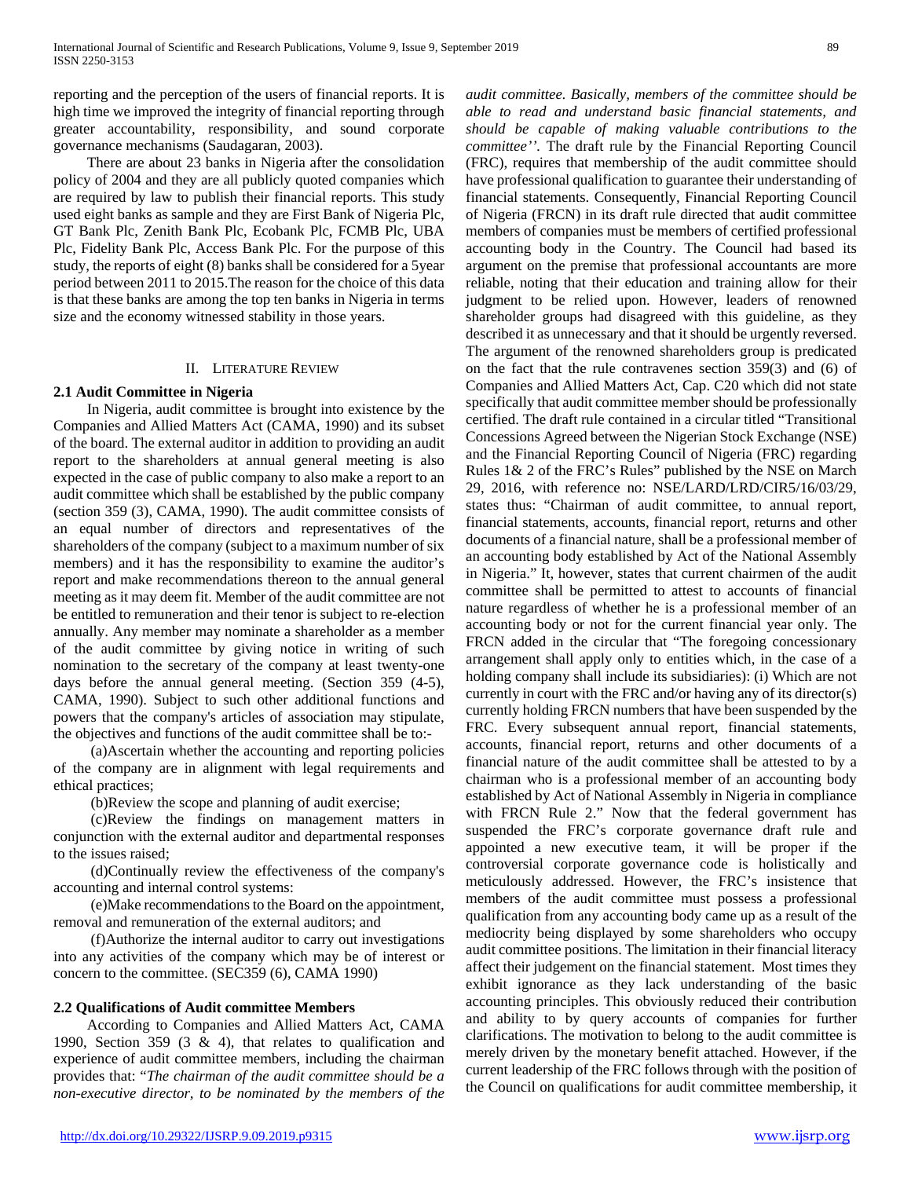reporting and the perception of the users of financial reports. It is high time we improved the integrity of financial reporting through greater accountability, responsibility, and sound corporate governance mechanisms (Saudagaran, 2003).

 There are about 23 banks in Nigeria after the consolidation policy of 2004 and they are all publicly quoted companies which are required by law to publish their financial reports. This study used eight banks as sample and they are First Bank of Nigeria Plc, GT Bank Plc, Zenith Bank Plc, Ecobank Plc, FCMB Plc, UBA Plc, Fidelity Bank Plc, Access Bank Plc. For the purpose of this study, the reports of eight (8) banks shall be considered for a 5year period between 2011 to 2015.The reason for the choice of this data is that these banks are among the top ten banks in Nigeria in terms size and the economy witnessed stability in those years.

## II. LITERATURE REVIEW

## **2.1 Audit Committee in Nigeria**

 In Nigeria, audit committee is brought into existence by the Companies and Allied Matters Act (CAMA, 1990) and its subset of the board. The external auditor in addition to providing an audit report to the shareholders at annual general meeting is also expected in the case of public company to also make a report to an audit committee which shall be established by the public company (section 359 (3), CAMA, 1990). The audit committee consists of an equal number of directors and representatives of the shareholders of the company (subject to a maximum number of six members) and it has the responsibility to examine the auditor's report and make recommendations thereon to the annual general meeting as it may deem fit. Member of the audit committee are not be entitled to remuneration and their tenor is subject to re-election annually. Any member may nominate a shareholder as a member of the audit committee by giving notice in writing of such nomination to the secretary of the company at least twenty-one days before the annual general meeting. (Section 359 (4-5), CAMA, 1990). Subject to such other additional functions and powers that the company's articles of association may stipulate, the objectives and functions of the audit committee shall be to:-

 (a)Ascertain whether the accounting and reporting policies of the company are in alignment with legal requirements and ethical practices;

(b)Review the scope and planning of audit exercise;

 (c)Review the findings on management matters in conjunction with the external auditor and departmental responses to the issues raised;

 (d)Continually review the effectiveness of the company's accounting and internal control systems:

 (e)Make recommendations to the Board on the appointment, removal and remuneration of the external auditors; and

 (f)Authorize the internal auditor to carry out investigations into any activities of the company which may be of interest or concern to the committee. (SEC359 (6), CAMA 1990)

#### **2.2 Qualifications of Audit committee Members**

 According to Companies and Allied Matters Act, CAMA 1990, Section 359 (3 & 4), that relates to qualification and experience of audit committee members, including the chairman provides that: "*The chairman of the audit committee should be a non-executive director, to be nominated by the members of the*  *audit committee. Basically, members of the committee should be able to read and understand basic financial statements, and should be capable of making valuable contributions to the committee''.* The draft rule by the Financial Reporting Council (FRC), requires that membership of the audit committee should have professional qualification to guarantee their understanding of financial statements. Consequently, Financial Reporting Council of Nigeria (FRCN) in its draft rule directed that audit committee members of companies must be members of certified professional accounting body in the Country. The Council had based its argument on the premise that professional accountants are more reliable, noting that their education and training allow for their judgment to be relied upon. However, leaders of renowned shareholder groups had disagreed with this guideline, as they described it as unnecessary and that it should be urgently reversed. The argument of the renowned shareholders group is predicated on the fact that the rule contravenes section 359(3) and (6) of Companies and Allied Matters Act, Cap. C20 which did not state specifically that audit committee member should be professionally certified. The draft rule contained in a circular titled "Transitional Concessions Agreed between the Nigerian Stock Exchange (NSE) and the Financial Reporting Council of Nigeria (FRC) regarding Rules 1& 2 of the FRC's Rules" published by the NSE on March 29, 2016, with reference no: NSE/LARD/LRD/CIR5/16/03/29, states thus: "Chairman of audit committee, to annual report, financial statements, accounts, financial report, returns and other documents of a financial nature, shall be a professional member of an accounting body established by Act of the National Assembly in Nigeria." It, however, states that current chairmen of the audit committee shall be permitted to attest to accounts of financial nature regardless of whether he is a professional member of an accounting body or not for the current financial year only. The FRCN added in the circular that "The foregoing concessionary arrangement shall apply only to entities which, in the case of a holding company shall include its subsidiaries): (i) Which are not currently in court with the FRC and/or having any of its director(s) currently holding FRCN numbers that have been suspended by the FRC. Every subsequent annual report, financial statements, accounts, financial report, returns and other documents of a financial nature of the audit committee shall be attested to by a chairman who is a professional member of an accounting body established by Act of National Assembly in Nigeria in compliance with FRCN Rule 2." Now that the federal government has suspended the FRC's corporate governance draft rule and appointed a new executive team, it will be proper if the controversial corporate governance code is holistically and meticulously addressed. However, the FRC's insistence that members of the audit committee must possess a professional qualification from any accounting body came up as a result of the mediocrity being displayed by some shareholders who occupy audit committee positions. The limitation in their financial literacy affect their judgement on the financial statement. Most times they exhibit ignorance as they lack understanding of the basic accounting principles. This obviously reduced their contribution and ability to by query accounts of companies for further clarifications. The motivation to belong to the audit committee is merely driven by the monetary benefit attached. However, if the current leadership of the FRC follows through with the position of the Council on qualifications for audit committee membership, it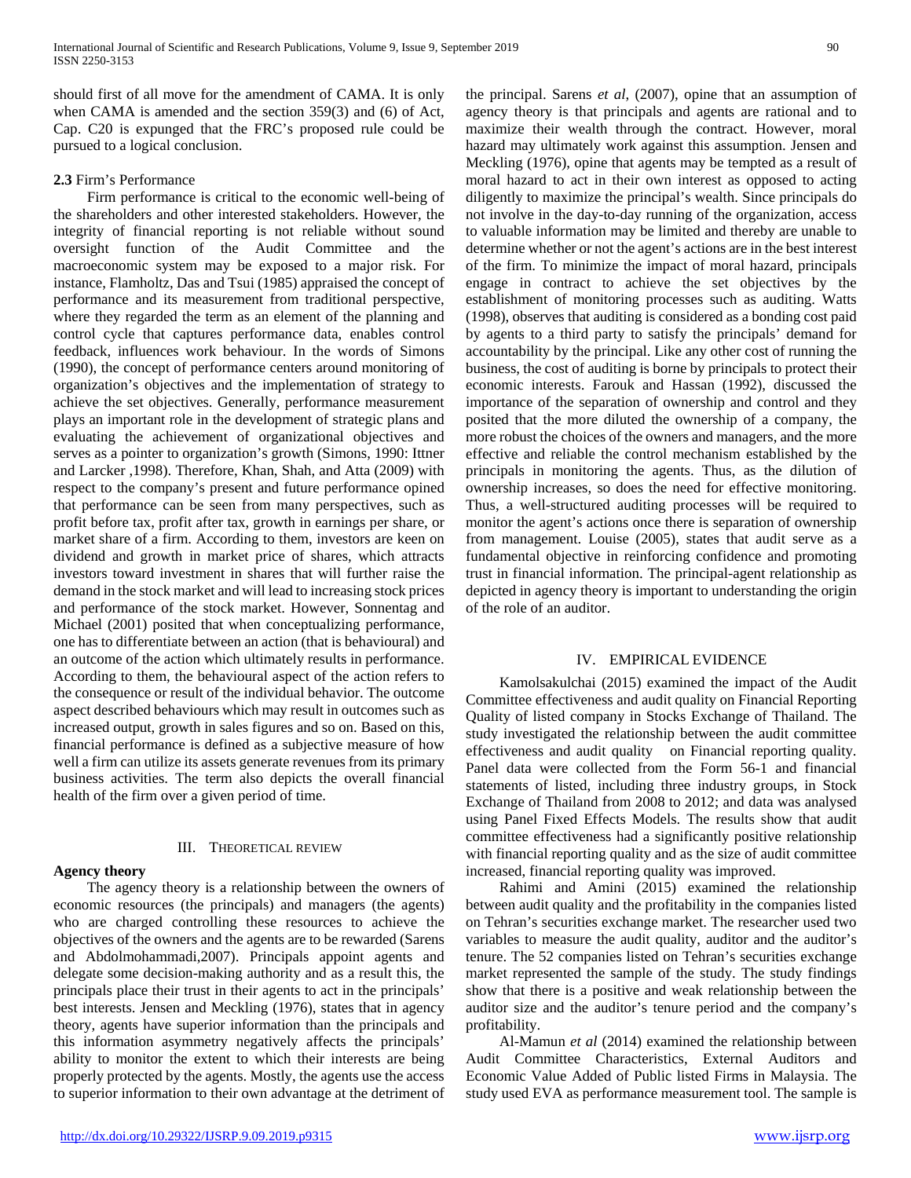should first of all move for the amendment of CAMA. It is only when CAMA is amended and the section 359(3) and (6) of Act, Cap. C20 is expunged that the FRC's proposed rule could be pursued to a logical conclusion.

# **2.3** Firm's Performance

 Firm performance is critical to the economic well-being of the shareholders and other interested stakeholders. However, the integrity of financial reporting is not reliable without sound oversight function of the Audit Committee and the macroeconomic system may be exposed to a major risk. For instance, Flamholtz, Das and Tsui (1985) appraised the concept of performance and its measurement from traditional perspective, where they regarded the term as an element of the planning and control cycle that captures performance data, enables control feedback, influences work behaviour. In the words of Simons (1990), the concept of performance centers around monitoring of organization's objectives and the implementation of strategy to achieve the set objectives. Generally, performance measurement plays an important role in the development of strategic plans and evaluating the achievement of organizational objectives and serves as a pointer to organization's growth (Simons, 1990: Ittner and Larcker ,1998). Therefore, Khan, Shah, and Atta (2009) with respect to the company's present and future performance opined that performance can be seen from many perspectives, such as profit before tax, profit after tax, growth in earnings per share, or market share of a firm. According to them, investors are keen on dividend and growth in market price of shares, which attracts investors toward investment in shares that will further raise the demand in the stock market and will lead to increasing stock prices and performance of the stock market. However, Sonnentag and Michael (2001) posited that when conceptualizing performance, one has to differentiate between an action (that is behavioural) and an outcome of the action which ultimately results in performance. According to them, the behavioural aspect of the action refers to the consequence or result of the individual behavior. The outcome aspect described behaviours which may result in outcomes such as increased output, growth in sales figures and so on. Based on this, financial performance is defined as a subjective measure of how well a firm can utilize its assets generate revenues from its primary business activities. The term also depicts the overall financial health of the firm over a given period of time.

## III. THEORETICAL REVIEW

## **Agency theory**

 The agency theory is a relationship between the owners of economic resources (the principals) and managers (the agents) who are charged controlling these resources to achieve the objectives of the owners and the agents are to be rewarded (Sarens and Abdolmohammadi,2007). Principals appoint agents and delegate some decision-making authority and as a result this, the principals place their trust in their agents to act in the principals' best interests. Jensen and Meckling (1976), states that in agency theory, agents have superior information than the principals and this information asymmetry negatively affects the principals' ability to monitor the extent to which their interests are being properly protected by the agents. Mostly, the agents use the access to superior information to their own advantage at the detriment of

the principal. Sarens *et al*, (2007), opine that an assumption of agency theory is that principals and agents are rational and to maximize their wealth through the contract. However, moral hazard may ultimately work against this assumption. Jensen and Meckling (1976), opine that agents may be tempted as a result of moral hazard to act in their own interest as opposed to acting diligently to maximize the principal's wealth. Since principals do not involve in the day-to-day running of the organization, access to valuable information may be limited and thereby are unable to determine whether or not the agent's actions are in the best interest of the firm. To minimize the impact of moral hazard, principals engage in contract to achieve the set objectives by the establishment of monitoring processes such as auditing. Watts (1998), observes that auditing is considered as a bonding cost paid by agents to a third party to satisfy the principals' demand for accountability by the principal. Like any other cost of running the business, the cost of auditing is borne by principals to protect their economic interests. Farouk and Hassan (1992), discussed the importance of the separation of ownership and control and they posited that the more diluted the ownership of a company, the more robust the choices of the owners and managers, and the more effective and reliable the control mechanism established by the principals in monitoring the agents. Thus, as the dilution of ownership increases, so does the need for effective monitoring. Thus, a well-structured auditing processes will be required to monitor the agent's actions once there is separation of ownership from management. Louise (2005), states that audit serve as a fundamental objective in reinforcing confidence and promoting trust in financial information. The principal-agent relationship as depicted in agency theory is important to understanding the origin of the role of an auditor.

## IV. EMPIRICAL EVIDENCE

 Kamolsakulchai (2015) examined the impact of the Audit Committee effectiveness and audit quality on Financial Reporting Quality of listed company in Stocks Exchange of Thailand. The study investigated the relationship between the audit committee effectiveness and audit quality on Financial reporting quality. Panel data were collected from the Form 56-1 and financial statements of listed, including three industry groups, in Stock Exchange of Thailand from 2008 to 2012; and data was analysed using Panel Fixed Effects Models. The results show that audit committee effectiveness had a significantly positive relationship with financial reporting quality and as the size of audit committee increased, financial reporting quality was improved.

 Rahimi and Amini (2015) examined the relationship between audit quality and the profitability in the companies listed on Tehran's securities exchange market. The researcher used two variables to measure the audit quality, auditor and the auditor's tenure. The 52 companies listed on Tehran's securities exchange market represented the sample of the study. The study findings show that there is a positive and weak relationship between the auditor size and the auditor's tenure period and the company's profitability.

 Al-Mamun *et al* (2014) examined the relationship between Audit Committee Characteristics, External Auditors and Economic Value Added of Public listed Firms in Malaysia. The study used EVA as performance measurement tool. The sample is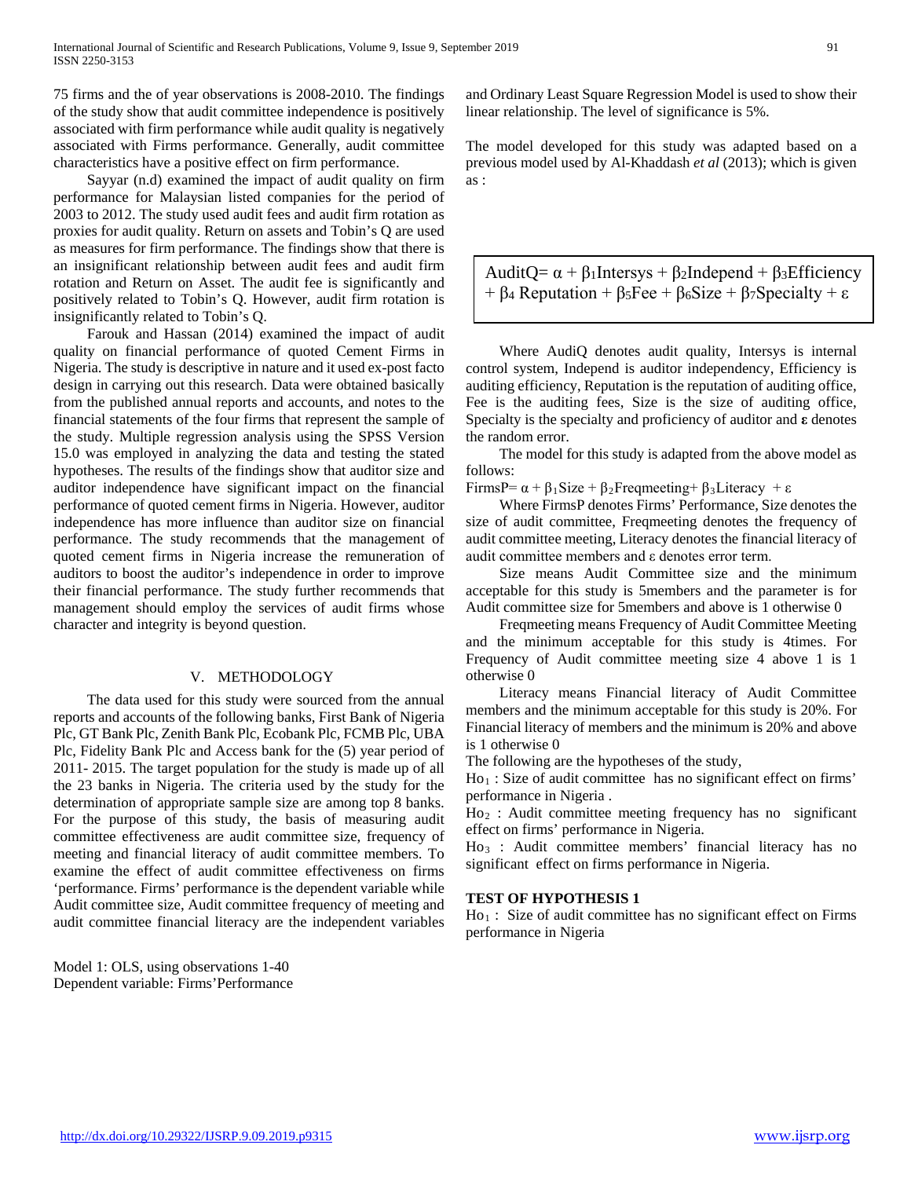75 firms and the of year observations is 2008-2010. The findings of the study show that audit committee independence is positively associated with firm performance while audit quality is negatively associated with Firms performance. Generally, audit committee characteristics have a positive effect on firm performance.

 Sayyar (n.d) examined the impact of audit quality on firm performance for Malaysian listed companies for the period of 2003 to 2012. The study used audit fees and audit firm rotation as proxies for audit quality. Return on assets and Tobin's Q are used as measures for firm performance. The findings show that there is an insignificant relationship between audit fees and audit firm rotation and Return on Asset. The audit fee is significantly and positively related to Tobin's Q. However, audit firm rotation is insignificantly related to Tobin's Q.

 Farouk and Hassan (2014) examined the impact of audit quality on financial performance of quoted Cement Firms in Nigeria. The study is descriptive in nature and it used ex-post facto design in carrying out this research. Data were obtained basically from the published annual reports and accounts, and notes to the financial statements of the four firms that represent the sample of the study. Multiple regression analysis using the SPSS Version 15.0 was employed in analyzing the data and testing the stated hypotheses. The results of the findings show that auditor size and auditor independence have significant impact on the financial performance of quoted cement firms in Nigeria. However, auditor independence has more influence than auditor size on financial performance. The study recommends that the management of quoted cement firms in Nigeria increase the remuneration of auditors to boost the auditor's independence in order to improve their financial performance. The study further recommends that management should employ the services of audit firms whose character and integrity is beyond question.

#### V. METHODOLOGY

 The data used for this study were sourced from the annual reports and accounts of the following banks, First Bank of Nigeria Plc, GT Bank Plc, Zenith Bank Plc, Ecobank Plc, FCMB Plc, UBA Plc, Fidelity Bank Plc and Access bank for the (5) year period of 2011- 2015. The target population for the study is made up of all the 23 banks in Nigeria. The criteria used by the study for the determination of appropriate sample size are among top 8 banks. For the purpose of this study, the basis of measuring audit committee effectiveness are audit committee size, frequency of meeting and financial literacy of audit committee members. To examine the effect of audit committee effectiveness on firms 'performance. Firms' performance is the dependent variable while Audit committee size, Audit committee frequency of meeting and audit committee financial literacy are the independent variables

Model 1: OLS, using observations 1-40 Dependent variable: Firms'Performance and Ordinary Least Square Regression Model is used to show their linear relationship. The level of significance is 5%.

The model developed for this study was adapted based on a previous model used by Al-Khaddash *et al* (2013); which is given as :

AuditQ=  $\alpha + \beta_1$ Intersys +  $\beta_2$ Independ +  $\beta_3$ Efficiency +  $\beta$ 4 Reputation +  $\beta$ 5 Fee +  $\beta$ 6 Size +  $\beta$ 7 Specialty + ε

 Where AudiQ denotes audit quality, Intersys is internal control system, Independ is auditor independency, Efficiency is auditing efficiency, Reputation is the reputation of auditing office, Fee is the auditing fees, Size is the size of auditing office, Specialty is the specialty and proficiency of auditor and **ε** denotes the random error.

 The model for this study is adapted from the above model as follows:

FirmsP=  $\alpha + \beta_1$ Size +  $\beta_2$ Freqmeeting+  $\beta_3$ Literacy + ε

 Where FirmsP denotes Firms' Performance, Size denotes the size of audit committee, Freqmeeting denotes the frequency of audit committee meeting, Literacy denotes the financial literacy of audit committee members and ε denotes error term.

 Size means Audit Committee size and the minimum acceptable for this study is 5members and the parameter is for Audit committee size for 5members and above is 1 otherwise 0

 Freqmeeting means Frequency of Audit Committee Meeting and the minimum acceptable for this study is 4times. For Frequency of Audit committee meeting size 4 above 1 is 1 otherwise 0

 Literacy means Financial literacy of Audit Committee members and the minimum acceptable for this study is 20%. For Financial literacy of members and the minimum is 20% and above is 1 otherwise 0

The following are the hypotheses of the study,

Ho1 : Size of audit committee has no significant effect on firms' performance in Nigeria .

 $Ho<sub>2</sub>:$  Audit committee meeting frequency has no significant effect on firms' performance in Nigeria.

Ho3 : Audit committee members' financial literacy has no significant effect on firms performance in Nigeria.

## **TEST OF HYPOTHESIS 1**

Ho1 : Size of audit committee has no significant effect on Firms performance in Nigeria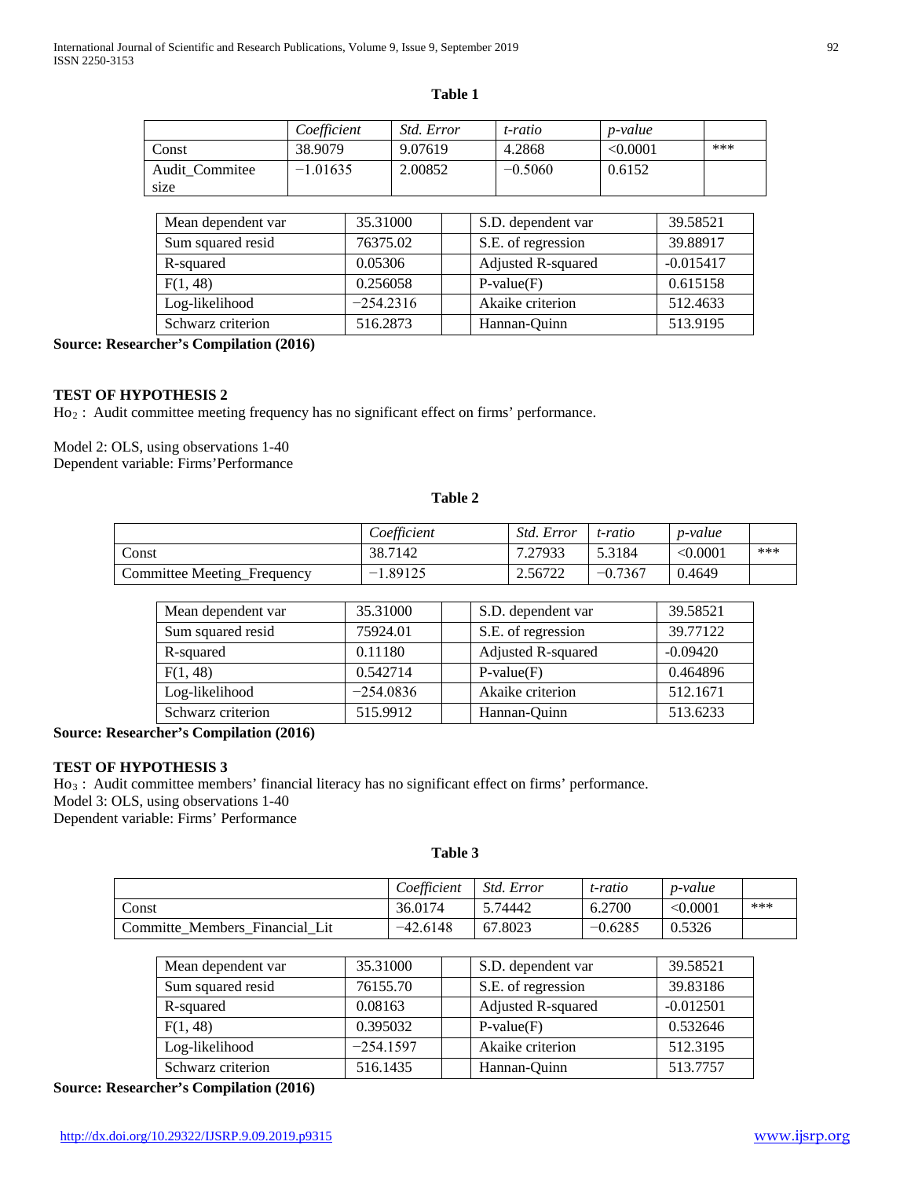# **Table 1**

|                | Coefficient | Std. Error | t-ratio   | <i>p</i> -value |     |
|----------------|-------------|------------|-----------|-----------------|-----|
| Const          | 38.9079     | 9.07619    | 4.2868    | < 0.0001        | *** |
| Audit Commitee | $-1.01635$  | 2.00852    | $-0.5060$ | 0.6152          |     |
| size           |             |            |           |                 |     |

| Mean dependent var | 35.31000    | S.D. dependent var | 39.58521    |
|--------------------|-------------|--------------------|-------------|
| Sum squared resid  | 76375.02    | S.E. of regression | 39.88917    |
| R-squared          | 0.05306     | Adjusted R-squared | $-0.015417$ |
| F(1, 48)           | 0.256058    | $P-value(F)$       | 0.615158    |
| Log-likelihood     | $-254.2316$ | Akaike criterion   | 512.4633    |
| Schwarz criterion  | 516.2873    | Hannan-Quinn       | 513.9195    |

**Source: Researcher's Compilation (2016)**

## **TEST OF HYPOTHESIS 2**

Ho2 : Audit committee meeting frequency has no significant effect on firms' performance.

Model 2: OLS, using observations 1-40 Dependent variable: Firms'Performance

# **Table 2**

|                             | Coefficient | <i>Std. Error</i> | t-ratio   | p-value  |     |
|-----------------------------|-------------|-------------------|-----------|----------|-----|
| Const                       | 38.7142     | 7.27933           | 5.3184    | < 0.0001 | *** |
| Committee Meeting_Frequency | $-1.89125$  | 2.56722           | $-0.7367$ | 0.4649   |     |

| Mean dependent var | 35.31000    | S.D. dependent var | 39.58521   |
|--------------------|-------------|--------------------|------------|
| Sum squared resid  | 75924.01    | S.E. of regression | 39.77122   |
| R-squared          | 0.11180     | Adjusted R-squared | $-0.09420$ |
| F(1, 48)           | 0.542714    | $P-value(F)$       | 0.464896   |
| Log-likelihood     | $-254.0836$ | Akaike criterion   | 512.1671   |
| Schwarz criterion  | 515.9912    | Hannan-Quinn       | 513.6233   |

**Source: Researcher's Compilation (2016)**

## **TEST OF HYPOTHESIS 3**

Ho3 : Audit committee members' financial literacy has no significant effect on firms' performance. Model 3: OLS, using observations 1-40 Dependent variable: Firms' Performance

# **Table 3**

|                                | Coefficient | Std. Error | t-ratio   | <i>p</i> -value |     |
|--------------------------------|-------------|------------|-----------|-----------------|-----|
| Const                          | 36.0174     | 5.74442    | 6.2700    | < 0.0001        | *** |
| Committe Members Financial Lit | $-42.6148$  | 67.8023    | $-0.6285$ | 0.5326          |     |

| Mean dependent var | 35.31000    | S.D. dependent var | 39.58521    |
|--------------------|-------------|--------------------|-------------|
| Sum squared resid  | 76155.70    | S.E. of regression | 39.83186    |
| R-squared          | 0.08163     | Adjusted R-squared | $-0.012501$ |
| F(1, 48)           | 0.395032    | $P-value(F)$       | 0.532646    |
| Log-likelihood     | $-254.1597$ | Akaike criterion   | 512.3195    |
| Schwarz criterion  | 516.1435    | Hannan-Ouinn       | 513.7757    |

**Source: Researcher's Compilation (2016)**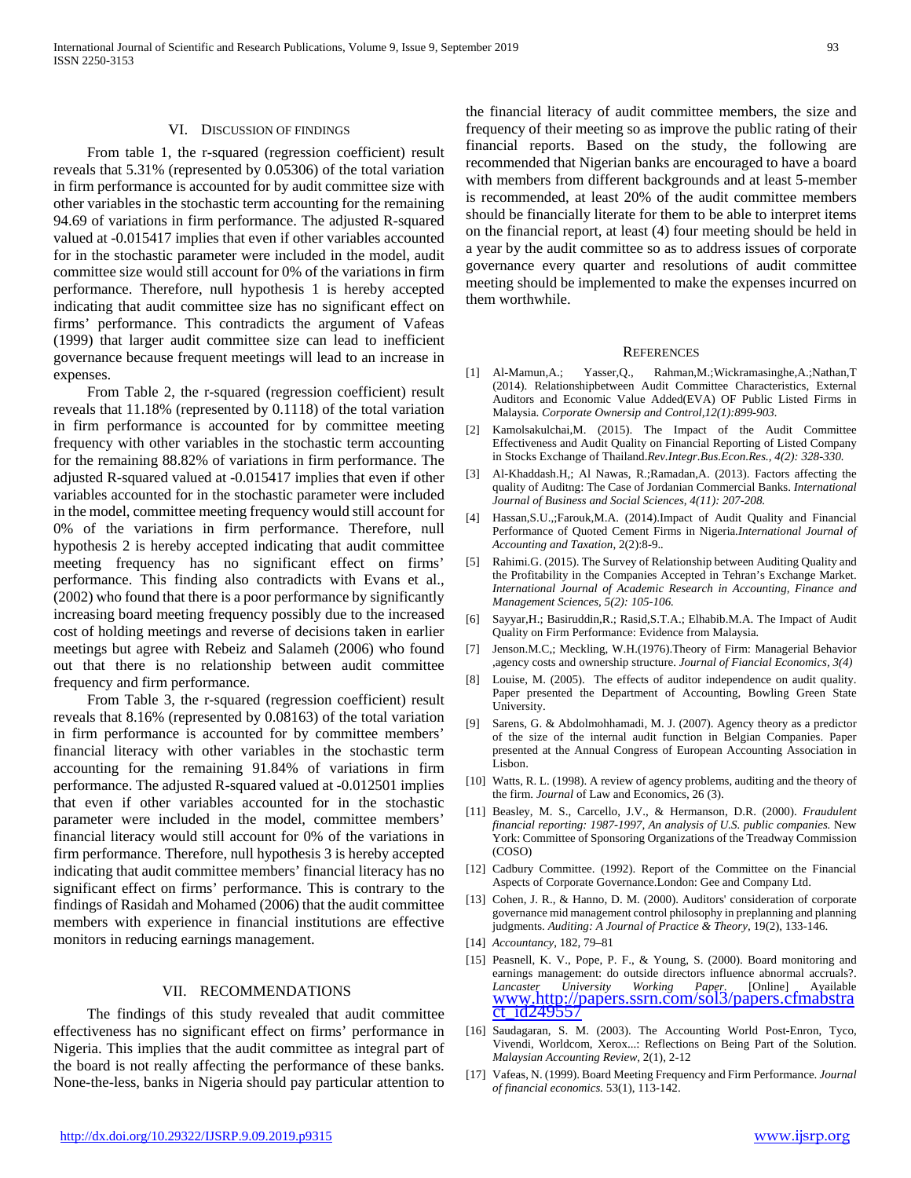#### VI. DISCUSSION OF FINDINGS

 From table 1, the r-squared (regression coefficient) result reveals that 5.31% (represented by 0.05306) of the total variation in firm performance is accounted for by audit committee size with other variables in the stochastic term accounting for the remaining 94.69 of variations in firm performance. The adjusted R-squared valued at -0.015417 implies that even if other variables accounted for in the stochastic parameter were included in the model, audit committee size would still account for 0% of the variations in firm performance. Therefore, null hypothesis 1 is hereby accepted indicating that audit committee size has no significant effect on firms' performance. This contradicts the argument of Vafeas (1999) that larger audit committee size can lead to inefficient governance because frequent meetings will lead to an increase in expenses.

 From Table 2, the r-squared (regression coefficient) result reveals that 11.18% (represented by 0.1118) of the total variation in firm performance is accounted for by committee meeting frequency with other variables in the stochastic term accounting for the remaining 88.82% of variations in firm performance. The adjusted R-squared valued at -0.015417 implies that even if other variables accounted for in the stochastic parameter were included in the model, committee meeting frequency would still account for 0% of the variations in firm performance. Therefore, null hypothesis 2 is hereby accepted indicating that audit committee meeting frequency has no significant effect on firms' performance. This finding also contradicts with Evans et al., (2002) who found that there is a poor performance by significantly increasing board meeting frequency possibly due to the increased cost of holding meetings and reverse of decisions taken in earlier meetings but agree with Rebeiz and Salameh (2006) who found out that there is no relationship between audit committee frequency and firm performance.

 From Table 3, the r-squared (regression coefficient) result reveals that 8.16% (represented by 0.08163) of the total variation in firm performance is accounted for by committee members' financial literacy with other variables in the stochastic term accounting for the remaining 91.84% of variations in firm performance. The adjusted R-squared valued at -0.012501 implies that even if other variables accounted for in the stochastic parameter were included in the model, committee members' financial literacy would still account for 0% of the variations in firm performance. Therefore, null hypothesis 3 is hereby accepted indicating that audit committee members' financial literacy has no significant effect on firms' performance. This is contrary to the findings of Rasidah and Mohamed (2006) that the audit committee members with experience in financial institutions are effective monitors in reducing earnings management.

#### VII. RECOMMENDATIONS

 The findings of this study revealed that audit committee effectiveness has no significant effect on firms' performance in Nigeria. This implies that the audit committee as integral part of the board is not really affecting the performance of these banks. None-the-less, banks in Nigeria should pay particular attention to the financial literacy of audit committee members, the size and frequency of their meeting so as improve the public rating of their financial reports. Based on the study, the following are recommended that Nigerian banks are encouraged to have a board with members from different backgrounds and at least 5-member is recommended, at least 20% of the audit committee members should be financially literate for them to be able to interpret items on the financial report, at least (4) four meeting should be held in a year by the audit committee so as to address issues of corporate governance every quarter and resolutions of audit committee meeting should be implemented to make the expenses incurred on them worthwhile.

#### **REFERENCES**

- [1] Al-Mamun,A.; Yasser,Q., Rahman,M.;Wickramasinghe,A.;Nathan,T (2014). Relationshipbetween Audit Committee Characteristics, External Auditors and Economic Value Added(EVA) OF Public Listed Firms in Malaysia. *Corporate Ownersip and Control,12(1):899-903.*
- [2] Kamolsakulchai,M. (2015). The Impact of the Audit Committee Effectiveness and Audit Quality on Financial Reporting of Listed Company in Stocks Exchange of Thailand.*Rev.Integr.Bus.Econ.Res., 4(2): 328-330.*
- [3] Al-Khaddash.H,; Al Nawas, R.;Ramadan,A. (2013). Factors affecting the quality of Auditng: The Case of Jordanian Commercial Banks. *International Journal of Business and Social Sciences, 4(11): 207-208.*
- [4] Hassan,S.U.,;Farouk,M.A. (2014).Impact of Audit Quality and Financial Performance of Quoted Cement Firms in Nigeria*.International Journal of Accounting and Taxation*, 2(2):8-9.*.*
- [5] Rahimi.G. (2015). The Survey of Relationship between Auditing Quality and the Profitability in the Companies Accepted in Tehran's Exchange Market. *International Journal of Academic Research in Accounting, Finance and Management Sciences, 5(2): 105-106.*
- [6] Sayyar,H.; Basiruddin,R.; Rasid,S.T.A.; Elhabib.M.A. The Impact of Audit Quality on Firm Performance: Evidence from Malaysia*.*
- [7] Jenson.M.C,; Meckling, W.H.(1976).Theory of Firm: Managerial Behavior ,agency costs and ownership structure. *Journal of Fiancial Economics, 3(4)*
- [8] Louise, M. (2005). The effects of auditor independence on audit quality. Paper presented the Department of Accounting, Bowling Green State University.
- [9] Sarens, G. & Abdolmohhamadi, M. J. (2007). Agency theory as a predictor of the size of the internal audit function in Belgian Companies. Paper presented at the Annual Congress of European Accounting Association in Lisbon.
- [10] Watts, R. L. (1998). A review of agency problems, auditing and the theory of the firm. *Journal* of Law and Economics, 26 (3).
- [11] Beasley, M. S., Carcello, J.V., & Hermanson, D.R. (2000). *Fraudulent financial reporting: 1987-1997, An analysis of U.S. public companies.* New York: Committee of Sponsoring Organizations of the Treadway Commission (COSO)
- [12] Cadbury Committee. (1992). Report of the Committee on the Financial Aspects of Corporate Governance.London: Gee and Company Ltd.
- [13] Cohen, J. R., & Hanno, D. M. (2000). Auditors' consideration of corporate governance mid management control philosophy in preplanning and planning judgments. *Auditing: A Journal of Practice & Theory,* 19(2), 133-146.
- [14] *Accountancy*, 182, 79–81
- [15] Peasnell, K. V., Pope, P. F., & Young, S. (2000). Board monitoring and earnings management: do outside directors influence abnormal accruals?<br> *Lancaster University Working Paper* [Online] Available *Lancaster University Working Paper*. [Online] Available [www.http://papers.ssrn.com/sol3/papers.cfmabstra](http://www.http/papers.ssrn.com/sol3/papers.cfmabstract_id249557) [ct\\_id249557](http://www.http/papers.ssrn.com/sol3/papers.cfmabstract_id249557)
- [16] Saudagaran, S. M. (2003). The Accounting World Post-Enron, Tyco, Vivendi, Worldcom, Xerox...: Reflections on Being Part of the Solution. *Malaysian Accounting Review,* 2(1), 2-12
- [17] Vafeas, N. (1999). Board Meeting Frequency and Firm Performance. *Journal of financial economics.* 53(1), 113-142.